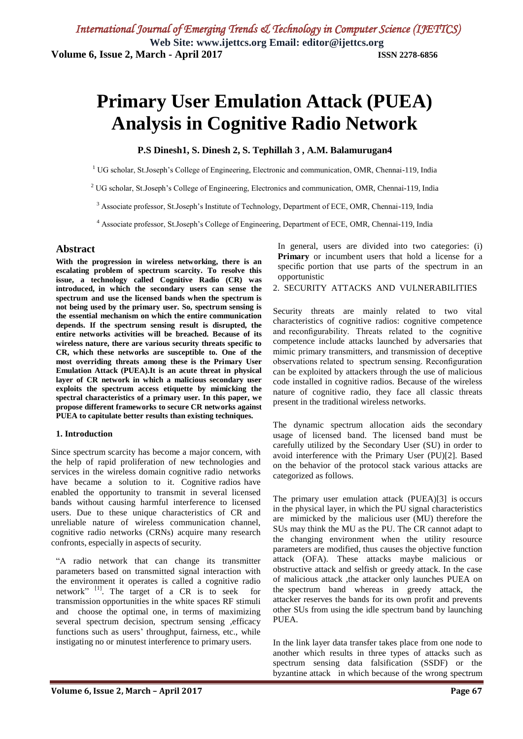# **Primary User Emulation Attack (PUEA) Analysis in Cognitive Radio Network**

## **P.S Dinesh1, S. Dinesh 2, S. Tephillah 3 , A.M. Balamurugan4**

<sup>1</sup> UG scholar, St.Joseph"s College of Engineering, Electronic and communication, OMR, Chennai-119, India

<sup>2</sup> UG scholar, St.Joseph"s College of Engineering, Electronics and communication, OMR, Chennai-119, India

<sup>3</sup> Associate professor, St.Joseph"s Institute of Technology, Department of ECE, OMR, Chennai-119, India

<sup>4</sup> Associate professor, St.Joseph"s College of Engineering, Department of ECE, OMR, Chennai-119, India

## **Abstract**

**With the progression in wireless networking, there is an escalating problem of spectrum scarcity. To resolve this issue, a technology called Cognitive Radio (CR) was introduced, in which the secondary users can sense the spectrum and use the licensed bands when the spectrum is not being used by the primary user. So, spectrum sensing is the essential mechanism on which the entire communication depends. If the spectrum sensing result is disrupted, the entire networks activities will be breached. Because of its wireless nature, there are various security threats specific to CR, which these networks are susceptible to. One of the most overriding threats among these is the Primary User Emulation Attack (PUEA).It is an acute threat in physical layer of CR network in which a malicious secondary user exploits the spectrum access etiquette by mimicking the spectral characteristics of a primary user. In this paper, we propose different frameworks to secure CR networks against PUEA to capitulate better results than existing techniques.**

#### **1. Introduction**

Since spectrum scarcity has become a major concern, with the help of rapid proliferation of new technologies and services in the wireless domain cognitive radio networks have became a solution to it. Cognitive radios have enabled the opportunity to transmit in several licensed bands without causing harmful interference to licensed users. Due to these unique characteristics of CR and unreliable nature of wireless communication channel, cognitive radio networks (CRNs) acquire many research confronts, especially in aspects of security.

"A radio network that can change its transmitter parameters based on transmitted signal interaction with the environment it operates is called a cognitive radio network" [1]. The target of a CR is to seek for transmission opportunities in the white spaces RF stimuli and choose the optimal one, in terms of maximizing several spectrum decision, spectrum sensing ,efficacy functions such as users' throughput, fairness, etc., while instigating no or minutest interference to primary users.

In general, users are divided into two categories: (i) **Primary** or incumbent users that hold a license for a specific portion that use parts of the spectrum in an opportunistic

#### 2. SECURITY ATTACKS AND VULNERABILITIES

Security threats are mainly related to two vital characteristics of cognitive radios: cognitive competence and reconfigurability. Threats related to the cognitive competence include attacks launched by adversaries that mimic primary transmitters, and transmission of deceptive observations related to spectrum sensing. Reconfiguration can be exploited by attackers through the use of malicious code installed in cognitive radios. Because of the wireless nature of cognitive radio, they face all classic threats present in the traditional wireless networks.

The dynamic spectrum allocation aids the secondary usage of licensed band. The licensed band must be carefully utilized by the Secondary User (SU) in order to avoid interference with the Primary User (PU)[2]. Based on the behavior of the protocol stack various attacks are categorized as follows.

The primary user emulation attack (PUEA)[3] is occurs in the physical layer, in which the PU signal characteristics are mimicked by the malicious user (MU) therefore the SUs may think the MU as the PU. The CR cannot adapt to the changing environment when the utility resource parameters are modified, thus causes the objective function attack (OFA). These attacks maybe malicious or obstructive attack and selfish or greedy attack. In the case of malicious attack ,the attacker only launches PUEA on the spectrum band whereas in greedy attack, the attacker reserves the bands for its own profit and prevents other SUs from using the idle spectrum band by launching PUEA.

In the link layer data transfer takes place from one node to another which results in three types of attacks such as spectrum sensing data falsification (SSDF) or the byzantine attack in which because of the wrong spectrum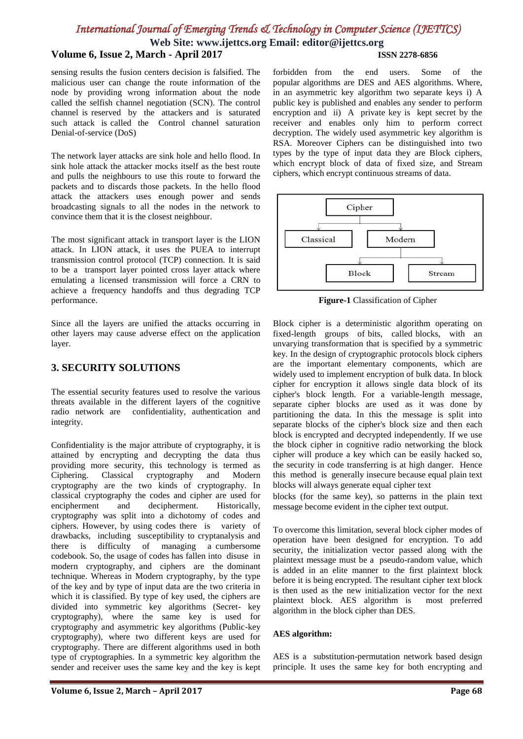**Web Site: www.ijettcs.org Email: editor@ijettcs.org Volume 6, Issue 2, March - April 2017 ISSN 2278-6856**

sensing results the fusion centers decision is falsified. The malicious user can change the route information of the node by providing wrong information about the node called the selfish channel negotiation (SCN). The control channel is reserved by the attackers and is saturated such attack is called the Control channel saturation Denial-of-service (DoS)

The network layer attacks are sink hole and hello flood. In sink hole attack the attacker mocks itself as the best route and pulls the neighbours to use this route to forward the packets and to discards those packets. In the hello flood attack the attackers uses enough power and sends broadcasting signals to all the nodes in the network to convince them that it is the closest neighbour.

The most significant attack in transport layer is the LION attack. In LION attack, it uses the PUEA to interrupt transmission control protocol (TCP) connection. It is said to be a transport layer pointed cross layer attack where emulating a licensed transmission will force a CRN to achieve a frequency handoffs and thus degrading TCP performance.

Since all the layers are unified the attacks occurring in other layers may cause adverse effect on the application layer.

# **3. SECURITY SOLUTIONS**

The essential security features used to resolve the various threats available in the different layers of the cognitive radio network are confidentiality, authentication and integrity.

Confidentiality is the major attribute of cryptography, it is attained by encrypting and decrypting the data thus providing more security, this technology is termed as Ciphering. Classical cryptography and Modern cryptography are the two kinds of cryptography. In classical cryptography the codes and cipher are used for encipherment and decipherment. Historically, cryptography was split into a dichotomy of codes and ciphers. However, by using codes there is variety of drawbacks, including susceptibility to cryptanalysis and there is difficulty of managing a cumbersome codebook. So, the usage of codes has fallen into disuse in modern cryptography, and ciphers are the dominant technique. Whereas in Modern cryptography, by the type of the key and by type of input data are the two criteria in which it is classified. By type of key used, the ciphers are divided into symmetric key algorithms (Secret- key cryptography), where the same key is used for cryptography and asymmetric key algorithms (Public-key cryptography), where two different keys are used for cryptography. There are different algorithms used in both type of cryptographies. In a symmetric key algorithm the sender and receiver uses the same key and the key is kept

forbidden from the end users. Some of the popular algorithms are DES and AES algorithms. Where, in an asymmetric key algorithm two separate keys i) A public key is published and enables any sender to perform encryption and ii) A private key is kept secret by the receiver and enables only him to perform correct decryption. The widely used asymmetric key algorithm is RSA. Moreover Ciphers can be distinguished into two types by the type of input data they are Block ciphers, which encrypt block of data of fixed size, and Stream ciphers, which encrypt continuous streams of data.



**Figure-1** Classification of Cipher

Block cipher is a deterministic algorithm operating on fixed-length groups of bits, called blocks, with an unvarying transformation that is specified by a symmetric key. In the design of cryptographic protocols block ciphers are the important elementary components, which are widely used to implement encryption of bulk data. In block cipher for encryption it allows single data block of its cipher's block length. For a variable-length message, separate cipher blocks are used as it was done by partitioning the data. In this the message is split into separate blocks of the cipher's block size and then each block is encrypted and decrypted independently. If we use the block cipher in cognitive radio networking the block cipher will produce a key which can be easily hacked so, the security in code transferring is at high danger. Hence this method is generally insecure because equal plain text blocks will always generate equal cipher text

blocks (for the same key), so patterns in the plain text message become evident in the cipher text output.

To overcome this limitation, several block cipher modes of operation have been designed for encryption. To add security, the initialization vector passed along with the plaintext message must be a pseudo-random value, which is added in an elite manner to the first plaintext block before it is being encrypted. The resultant cipher text block is then used as the new initialization vector for the next plaintext block. AES algorithm is most preferred algorithm in the block cipher than DES.

## **AES algorithm:**

AES is a substitution-permutation network based design principle. It uses the same key for both encrypting and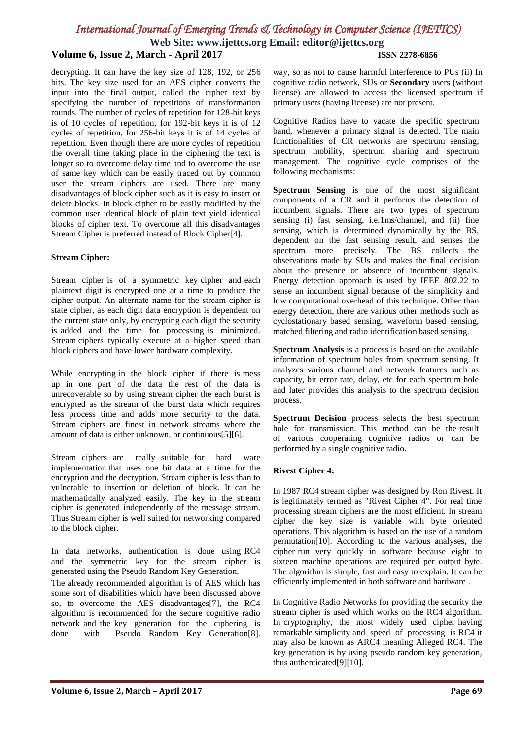**Web Site: www.ijettcs.org Email: editor@ijettcs.org**

## **Volume 6, Issue 2, March - April 2017 ISSN 2278-6856**

decrypting. It can have the key size of 128, 192, or 256 bits. The key size used for an AES cipher converts the input into the final output, called the cipher text by specifying the number of repetitions of transformation rounds. The number of cycles of repetition for 128-bit keys is of 10 cycles of repetition, for 192-bit keys it is of 12 cycles of repetition, for 256-bit keys it is of 14 cycles of repetition. Even though there are more cycles of repetition the overall time taking place in the ciphering the text is longer so to overcome delay time and to overcome the use of same key which can be easily traced out by common user the stream ciphers are used. There are many disadvantages of block cipher such as it is easy to insert or delete blocks. In block cipher to be easily modified by the common user identical block of plain text yield identical blocks of cipher text. To overcome all this disadvantages Stream Cipher is preferred instead of Block Cipher[4].

#### **Stream Cipher:**

Stream cipher is of a symmetric key cipher and each plaintext digit is encrypted one at a time to produce the cipher output. An alternate name for the stream cipher is state cipher, as each digit data encryption is dependent on the current state only, by encrypting each digit the security is added and the time for processing is minimized. Stream ciphers typically execute at a higher speed than block ciphers and have lower hardware complexity.

While encrypting in the block cipher if there is mess up in one part of the data the rest of the data is unrecoverable so by using stream cipher the each burst is encrypted as the stream of the burst data which requires less process time and adds more security to the data. Stream ciphers are finest in network streams where the amount of data is either unknown, or continuous[5][6].

Stream ciphers are really suitable for hard ware implementation that uses one bit data at a time for the encryption and the decryption. Stream cipher is less than to vulnerable to insertion or deletion of block. It can be mathematically analyzed easily. The key in the stream cipher is generated independently of the message stream. Thus Stream cipher is well suited for networking compared to the block cipher.

In data networks, authentication is done using RC4 and the symmetric key for the stream cipher is generated using the Pseudo Random Key Generation.

The already recommended algorithm is of AES which has some sort of disabilities which have been discussed above so, to overcome the AES disadvantages[7], the RC4 algorithm is recommended for the secure cognitive radio network and the key generation for the ciphering is done with Pseudo Random Key Generation[8].

way, so as not to cause harmful interference to PUs (ii) In cognitive radio network, SUs or **Secondary** users (without license) are allowed to access the licensed spectrum if primary users (having license) are not present.

Cognitive Radios have to vacate the specific spectrum band, whenever a primary signal is detected. The main functionalities of CR networks are spectrum sensing, spectrum mobility, spectrum sharing and spectrum management. The cognitive cycle comprises of the following mechanisms:

**Spectrum Sensing** is one of the most significant components of a CR and it performs the detection of incumbent signals. There are two types of spectrum sensing (i) fast sensing, i.e.1ms/channel, and (ii) fine sensing, which is determined dynamically by the BS, dependent on the fast sensing result, and senses the spectrum more precisely. The BS collects the observations made by SUs and makes the final decision about the presence or absence of incumbent signals. Energy detection approach is used by IEEE 802.22 to sense an incumbent signal because of the simplicity and low computational overhead of this technique. Other than energy detection, there are various other methods such as cyclostationary based sensing, waveform based sensing, matched filtering and radio identification based sensing.

**Spectrum Analysis** is a process is based on the available information of spectrum holes from spectrum sensing. It analyzes various channel and network features such as capacity, bit error rate, delay, etc for each spectrum hole and later provides this analysis to the spectrum decision process.

**Spectrum Decision** process selects the best spectrum hole for transmission. This method can be the result of various cooperating cognitive radios or can be performed by a single cognitive radio.

## **Rivest Cipher 4:**

In 1987 RC4 stream cipher was designed by Ron Rivest. It is legitimately termed as "Rivest Cipher 4". For real time processing stream ciphers are the most efficient. In stream cipher the key size is variable with byte oriented operations. This algorithm is based on the use of a random permutation[10]. According to the various analyses, the cipher run very quickly in software because eight to sixteen machine operations are required per output byte. The algorithm is simple, fast and easy to explain. It can be efficiently implemented in both software and hardware .

In Cognitive Radio Networks for providing the security the stream cipher is used which works on the RC4 algorithm. In cryptography, the most widely used cipher having remarkable simplicity and speed of processing is RC4 it may also be known as ARC4 meaning Alleged RC4. The key generation is by using pseudo random key generation, thus authenticated[9][10].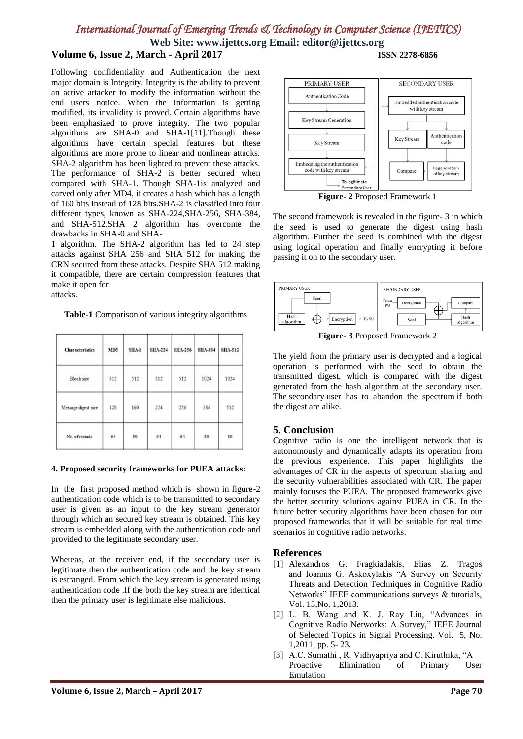**Web Site: www.ijettcs.org Email: editor@ijettcs.org Volume 6, Issue 2, March - April 2017 ISSN 2278-6856**

Following confidentiality and Authentication the next major domain is Integrity. Integrity is the ability to prevent an active attacker to modify the information without the end users notice. When the information is getting modified, its invalidity is proved. Certain algorithms have been emphasized to prove integrity. The two popular algorithms are SHA-0 and SHA-1[11].Though these algorithms have certain special features but these algorithms are more prone to linear and nonlinear attacks. SHA-2 algorithm has been lighted to prevent these attacks. The performance of SHA-2 is better secured when compared with SHA-1. Though SHA-1is analyzed and carved only after MD4, it creates a hash which has a length of 160 bits instead of 128 bits.SHA-2 is classified into four different types, known as SHA-224,SHA-256, SHA-384, and SHA-512.SHA 2 algorithm has overcome the drawbacks in SHA-0 and SHA-

1 algorithm. The SHA-2 algorithm has led to 24 step attacks against SHA 256 and SHA 512 for making the CRN secured from these attacks. Despite SHA 512 making it compatible, there are certain compression features that make it open for attacks.

**Table-1** Comparison of various integrity algorithms

| Characteristics     | MD5 | SHA-1 | SHA-224 | SHA-256 | SHA-384 | SHA-512 |
|---------------------|-----|-------|---------|---------|---------|---------|
| Block size          | 512 | 512   | 512     | 512     | 1024    | 1024    |
| Message digest size | 128 | 160   | 224     | 256     | 384     | 512     |
| No. of rounds       | 64  | 80    | 64      | 64      | 80      | 80      |

#### **4. Proposed security frameworks for PUEA attacks:**

In the first proposed method which is shown in figure-2 authentication code which is to be transmitted to secondary user is given as an input to the key stream generator through which an secured key stream is obtained. This key stream is embedded along with the authentication code and provided to the legitimate secondary user.

Whereas, at the receiver end, if the secondary user is legitimate then the authentication code and the key stream is estranged. From which the key stream is generated using authentication code .If the both the key stream are identical then the primary user is legitimate else malicious.



**Figure- 2** Proposed Framework 1

The second framework is revealed in the figure- 3 in which the seed is used to generate the digest using hash algorithm. Further the seed is combined with the digest using logical operation and finally encrypting it before passing it on to the secondary user.



**Figure- 3** Proposed Framework 2

The yield from the primary user is decrypted and a logical operation is performed with the seed to obtain the transmitted digest, which is compared with the digest generated from the hash algorithm at the secondary user. The secondary user has to abandon the spectrum if both the digest are alike.

# **5. Conclusion**

Cognitive radio is one the intelligent network that is autonomously and dynamically adapts its operation from the previous experience. This paper highlights the advantages of CR in the aspects of spectrum sharing and the security vulnerabilities associated with CR. The paper mainly focuses the PUEA. The proposed frameworks give the better security solutions against PUEA in CR. In the future better security algorithms have been chosen for our proposed frameworks that it will be suitable for real time scenarios in cognitive radio networks.

## **References**

- [1] Alexandros G. Fragkiadakis, Elias Z. Tragos and Ioannis G. Askoxylakis "A Survey on Security Threats and Detection Techniques in Cognitive Radio Networks" IEEE communications surveys & tutorials, Vol. 15,No. 1,2013.
- [2] L. B. Wang and K. J. Ray Liu, "Advances in Cognitive Radio Networks: A Survey," IEEE Journal of Selected Topics in Signal Processing, Vol. 5, No. 1,2011, pp. 5- 23.
- [3] A.C. Sumathi , R. Vidhyapriya and C. Kiruthika, "A Proactive Elimination of Primary User Emulation